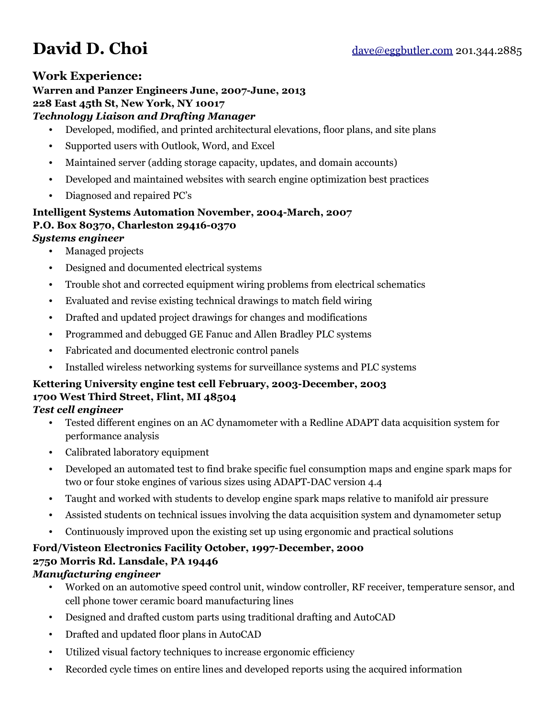#### **Work Experience:**

# **Warren and Panzer Engineers June, 2007-June, 2013**

#### **228 East 45th St, New York, NY 10017**

#### *Technology Liaison and Drafting Manager*

- Developed, modified, and printed architectural elevations, floor plans, and site plans
- Supported users with Outlook, Word, and Excel
- Maintained server (adding storage capacity, updates, and domain accounts)
- Developed and maintained websites with search engine optimization best practices
- Diagnosed and repaired PC's

# **Intelligent Systems Automation November, 2004-March, 2007 P.O. Box 80370, Charleston 29416-0370**

## *Systems engineer*

- Managed projects
- Designed and documented electrical systems
- Trouble shot and corrected equipment wiring problems from electrical schematics
- Evaluated and revise existing technical drawings to match field wiring
- Drafted and updated project drawings for changes and modifications
- Programmed and debugged GE Fanuc and Allen Bradley PLC systems
- Fabricated and documented electronic control panels
- Installed wireless networking systems for surveillance systems and PLC systems

# **Kettering University engine test cell February, 2003-December, 2003 1700 West Third Street, Flint, MI 48504**

#### *Test cell engineer*

- Tested different engines on an AC dynamometer with a Redline ADAPT data acquisition system for performance analysis
- Calibrated laboratory equipment
- Developed an automated test to find brake specific fuel consumption maps and engine spark maps for two or four stoke engines of various sizes using ADAPT-DAC version 4.4
- Taught and worked with students to develop engine spark maps relative to manifold air pressure
- Assisted students on technical issues involving the data acquisition system and dynamometer setup
- Continuously improved upon the existing set up using ergonomic and practical solutions

## **Ford/Visteon Electronics Facility October, 1997-December, 2000 2750 Morris Rd. Lansdale, PA 19446**

#### *Manufacturing engineer*

- Worked on an automotive speed control unit, window controller, RF receiver, temperature sensor, and cell phone tower ceramic board manufacturing lines
- Designed and drafted custom parts using traditional drafting and AutoCAD
- Drafted and updated floor plans in AutoCAD
- Utilized visual factory techniques to increase ergonomic efficiency
- Recorded cycle times on entire lines and developed reports using the acquired information